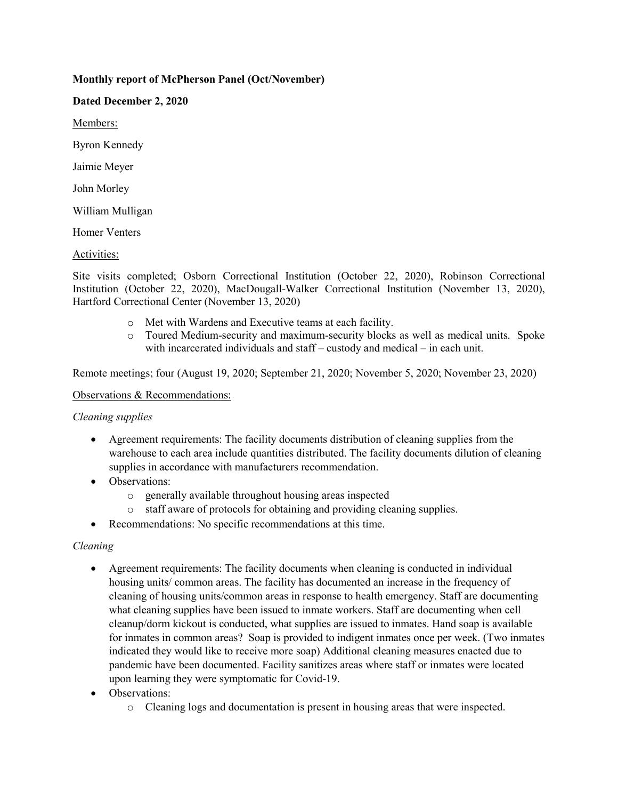# **Monthly report of McPherson Panel (Oct/November)**

#### **Dated December 2, 2020**

Members:

Byron Kennedy

Jaimie Meyer

John Morley

William Mulligan

Homer Venters

### Activities:

Site visits completed; Osborn Correctional Institution (October 22, 2020), Robinson Correctional Institution (October 22, 2020), MacDougall-Walker Correctional Institution (November 13, 2020), Hartford Correctional Center (November 13, 2020)

- o Met with Wardens and Executive teams at each facility.<br>  $\circ$  Toured Medium-security and maximum-security blocks
- Toured Medium-security and maximum-security blocks as well as medical units. Spoke with incarcerated individuals and staff – custody and medical – in each unit.

Remote meetings; four (August 19, 2020; September 21, 2020; November 5, 2020; November 23, 2020)

#### Observations & Recommendations:

### *Cleaning supplies*

- Agreement requirements: The facility documents distribution of cleaning supplies from the warehouse to each area include quantities distributed. The facility documents dilution of cleaning supplies in accordance with manufacturers recommendation.
- Observations:
	- o generally available throughout housing areas inspected
	- o staff aware of protocols for obtaining and providing cleaning supplies.
- Recommendations: No specific recommendations at this time.

### *Cleaning*

- Agreement requirements: The facility documents when cleaning is conducted in individual housing units/ common areas. The facility has documented an increase in the frequency of cleaning of housing units/common areas in response to health emergency. Staff are documenting what cleaning supplies have been issued to inmate workers. Staff are documenting when cell cleanup/dorm kickout is conducted, what supplies are issued to inmates. Hand soap is available for inmates in common areas? Soap is provided to indigent inmates once per week. (Two inmates indicated they would like to receive more soap) Additional cleaning measures enacted due to pandemic have been documented. Facility sanitizes areas where staff or inmates were located upon learning they were symptomatic for Covid-19.
- Observations:
	- o Cleaning logs and documentation is present in housing areas that were inspected.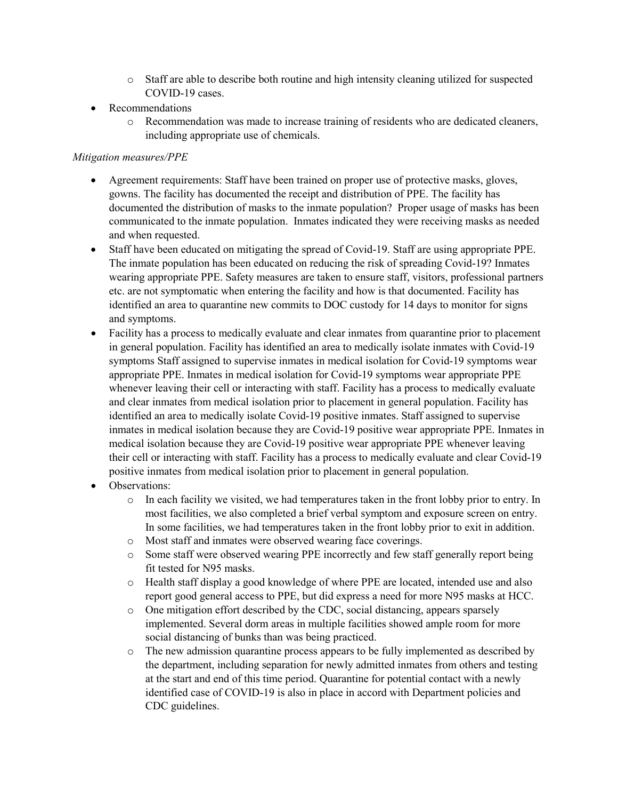- o Staff are able to describe both routine and high intensity cleaning utilized for suspected COVID-19 cases.
- Recommendations
	- o Recommendation was made to increase training of residents who are dedicated cleaners, including appropriate use of chemicals.

### *Mitigation measures/PPE*

- Agreement requirements: Staff have been trained on proper use of protective masks, gloves, gowns. The facility has documented the receipt and distribution of PPE. The facility has documented the distribution of masks to the inmate population? Proper usage of masks has been communicated to the inmate population. Inmates indicated they were receiving masks as needed and when requested.
- Staff have been educated on mitigating the spread of Covid-19. Staff are using appropriate PPE. The inmate population has been educated on reducing the risk of spreading Covid-19? Inmates wearing appropriate PPE. Safety measures are taken to ensure staff, visitors, professional partners etc. are not symptomatic when entering the facility and how is that documented. Facility has identified an area to quarantine new commits to DOC custody for 14 days to monitor for signs and symptoms.
- Facility has a process to medically evaluate and clear inmates from quarantine prior to placement in general population. Facility has identified an area to medically isolate inmates with Covid-19 symptoms Staff assigned to supervise inmates in medical isolation for Covid-19 symptoms wear appropriate PPE. Inmates in medical isolation for Covid-19 symptoms wear appropriate PPE whenever leaving their cell or interacting with staff. Facility has a process to medically evaluate and clear inmates from medical isolation prior to placement in general population. Facility has identified an area to medically isolate Covid-19 positive inmates. Staff assigned to supervise inmates in medical isolation because they are Covid-19 positive wear appropriate PPE. Inmates in medical isolation because they are Covid-19 positive wear appropriate PPE whenever leaving their cell or interacting with staff. Facility has a process to medically evaluate and clear Covid-19 positive inmates from medical isolation prior to placement in general population.
- Observations:
	- o In each facility we visited, we had temperatures taken in the front lobby prior to entry. In most facilities, we also completed a brief verbal symptom and exposure screen on entry. In some facilities, we had temperatures taken in the front lobby prior to exit in addition.
	- o Most staff and inmates were observed wearing face coverings.
	- o Some staff were observed wearing PPE incorrectly and few staff generally report being fit tested for N95 masks.
	- o Health staff display a good knowledge of where PPE are located, intended use and also report good general access to PPE, but did express a need for more N95 masks at HCC.
	- o One mitigation effort described by the CDC, social distancing, appears sparsely implemented. Several dorm areas in multiple facilities showed ample room for more social distancing of bunks than was being practiced.
	- o The new admission quarantine process appears to be fully implemented as described by the department, including separation for newly admitted inmates from others and testing at the start and end of this time period. Quarantine for potential contact with a newly identified case of COVID-19 is also in place in accord with Department policies and CDC guidelines.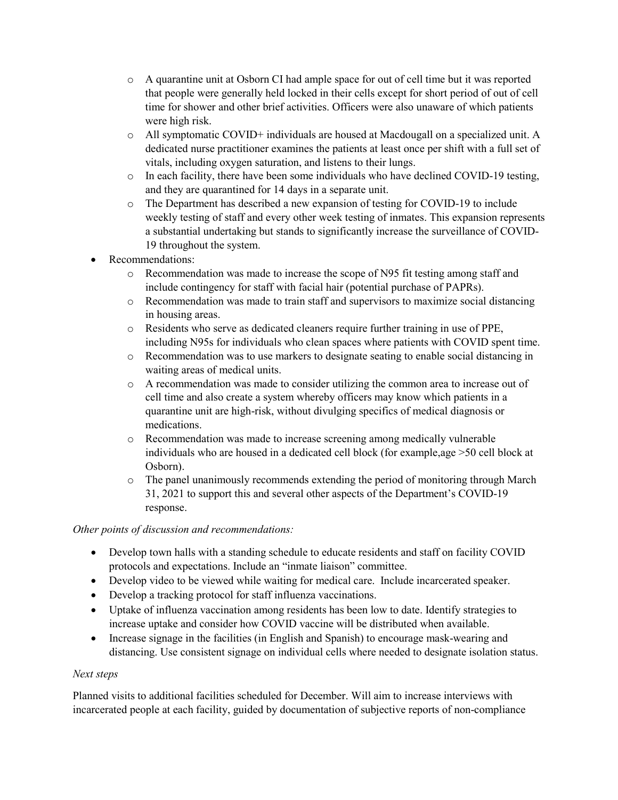- o A quarantine unit at Osborn CI had ample space for out of cell time but it was reported that people were generally held locked in their cells except for short period of out of cell time for shower and other brief activities. Officers were also unaware of which patients were high risk.
- o All symptomatic COVID+ individuals are housed at Macdougall on a specialized unit. A dedicated nurse practitioner examines the patients at least once per shift with a full set of vitals, including oxygen saturation, and listens to their lungs.
- o In each facility, there have been some individuals who have declined COVID-19 testing, and they are quarantined for 14 days in a separate unit.
- o The Department has described a new expansion of testing for COVID-19 to include weekly testing of staff and every other week testing of inmates. This expansion represents a substantial undertaking but stands to significantly increase the surveillance of COVID-19 throughout the system.
- Recommendations:
	- o Recommendation was made to increase the scope of N95 fit testing among staff and include contingency for staff with facial hair (potential purchase of PAPRs).
	- o Recommendation was made to train staff and supervisors to maximize social distancing in housing areas.
	- o Residents who serve as dedicated cleaners require further training in use of PPE, including N95s for individuals who clean spaces where patients with COVID spent time.
	- o Recommendation was to use markers to designate seating to enable social distancing in waiting areas of medical units.
	- o A recommendation was made to consider utilizing the common area to increase out of cell time and also create a system whereby officers may know which patients in a quarantine unit are high-risk, without divulging specifics of medical diagnosis or medications.
	- o Recommendation was made to increase screening among medically vulnerable individuals who are housed in a dedicated cell block (for example,age >50 cell block at Osborn).
	- o The panel unanimously recommends extending the period of monitoring through March 31, 2021 to support this and several other aspects of the Department's COVID-19 response.

# *Other points of discussion and recommendations:*

- Develop town halls with a standing schedule to educate residents and staff on facility COVID protocols and expectations. Include an "inmate liaison" committee.
- Develop video to be viewed while waiting for medical care. Include incarcerated speaker.
- Develop a tracking protocol for staff influenza vaccinations.
- Uptake of influenza vaccination among residents has been low to date. Identify strategies to increase uptake and consider how COVID vaccine will be distributed when available.
- Increase signage in the facilities (in English and Spanish) to encourage mask-wearing and distancing. Use consistent signage on individual cells where needed to designate isolation status.

# *Next steps*

Planned visits to additional facilities scheduled for December. Will aim to increase interviews with incarcerated people at each facility, guided by documentation of subjective reports of non-compliance